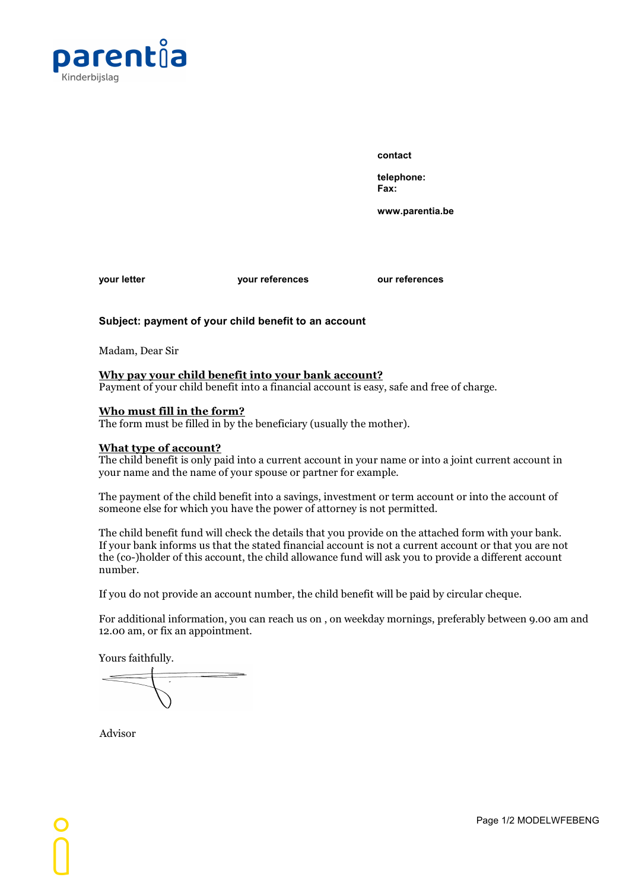

**contact**

**telephone: Fax:**

**www.parentia.be**

**your letter your references our references**

## **Subject: payment of your child benefit to an account**

Madam, Dear Sir

### **Why pay your child benefit into your bank account?**

Payment of your child benefit into a financial account is easy, safe and free of charge.

#### **Who must fill in the form?**

The form must be filled in by the beneficiary (usually the mother).

#### **What type of account?**

The child benefit is only paid into a current account in your name or into a joint current account in your name and the name of your spouse or partner for example.

The payment of the child benefit into a savings, investment or term account or into the account of someone else for which you have the power of attorney is not permitted.

The child benefit fund will check the details that you provide on the attached form with your bank. If your bank informs us that the stated financial account is not a current account or that you are not the (co-)holder ofthis account, the child allowance fund will ask you to provide a different account number.

If you do not provide an account number, the child benefit will be paid by circular cheque.

For additional information, you can reach us on , on weekday mornings, preferably between 9.00 am and 12.00 am, or fix an appointment.

Yours faithfully.

Advisor

Page 1/2 MODELWFEBENG